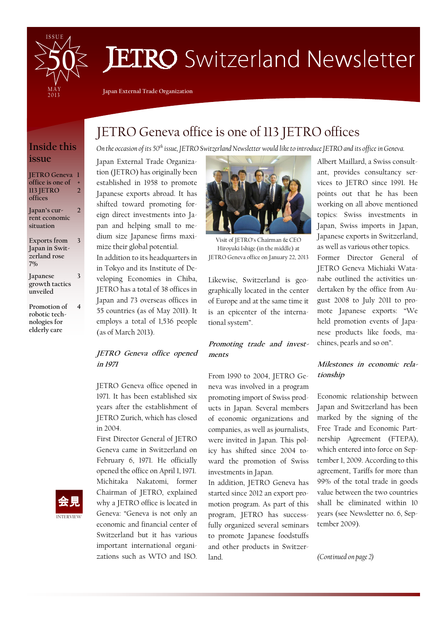

# **JETRO** Switzerland Newsletter

Japan External Trade Organization

### Inside this issue

JETRO Geneva 1 office is one of 113 JETRO offices + 2

Japan's current economic situation 2

Exports from Japan in Switzerland rose 7%

3

4

Japanese growth tactics unveiled 3

Promotion of robotic technologies for elderly care

## JETRO Geneva office is one of 113 JETRO offices

On the occasion of its 50<sup>th</sup> issue, JETRO Switzerland Newsletter would like to introduce JETRO and its office in Geneva.

Japan External Trade Organization (JETRO) has originally been established in 1958 to promote Japanese exports abroad. It has shifted toward promoting foreign direct investments into Japan and helping small to medium size Japanese firms maximize their global potential. In addition to its headquarters in in Tokyo and its Institute of Developing Economies in Chiba, JETRO has a total of 38 offices in Japan and 73 overseas offices in 55 countries (as of May 2011). It

### JETRO Geneva office opened in 1971

employs a total of 1,536 people

(as of March 2013).

JETRO Geneva office opened in 1971. It has been established six years after the establishment of JETRO Zurich, which has closed in 2004.

First Director General of JETRO Geneva came in Switzerland on February 6, 1971. He officially opened the office on April 1, 1971. Michitaka Nakatomi, former Chairman of JETRO, explained why a JETRO office is located in Geneva: "Geneva is not only an economic and financial center of Switzerland but it has various important international organizations such as WTO and ISO.



Visit of JETRO's Chairman & CEO Hiroyuki Ishige (in the middle) at JETRO Geneva office on January 22, 2013

Likewise, Switzerland is geographically located in the center of Europe and at the same time it is an epicenter of the international system".

#### Promoting trade and investments

From 1990 to 2004, JETRO Geneva was involved in a program promoting import of Swiss products in Japan. Several members of economic organizations and companies, as well as journalists, were invited in Japan. This policy has shifted since 2004 toward the promotion of Swiss investments in Japan.

In addition, JETRO Geneva has started since 2012 an export promotion program. As part of this program, JETRO has successfully organized several seminars to promote Japanese foodstuffs and other products in Switzerland.

Albert Maillard, a Swiss consultant, provides consultancy services to JETRO since 1991. He points out that he has been working on all above mentioned topics: Swiss investments in Japan, Swiss imports in Japan, Japanese exports in Switzerland, as well as various other topics.

Former Director General of JETRO Geneva Michiaki Watanabe outlined the activities undertaken by the office from August 2008 to July 2011 to promote Japanese exports: "We held promotion events of Japanese products like foods, machines, pearls and so on".

### Milestones in economic relationship

Economic relationship between Japan and Switzerland has been marked by the signing of the Free Trade and Economic Partnership Agreement (FTEPA), which entered into force on September 1, 2009. According to this agreement, Tariffs for more than 99% of the total trade in goods value between the two countries shall be eliminated within 10 years (see Newsletter no. 6, September 2009).

(Continued on page 2)

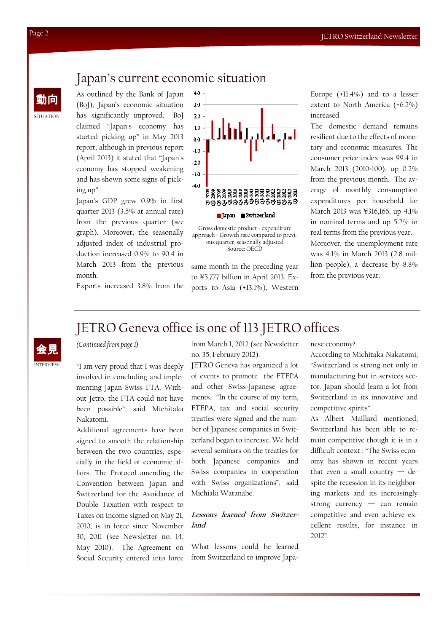### Japan's current economic situation

 $4.0\,$ 

動向 As outlined by the Bank of Japan (BoJ), Japan's economic situation has significantly improved. BoJ claimed "Japan's economy has started picking up" in May 2013 report, although in previous report (April 2013) it stated that "Japan's economy has stopped weakening and has shown some signs of picking up".

> Japan's GDP grew 0.9% in first quarter 2013 (3.5% at annual rate) from the previous quarter (see graph). Moreover, the seasonally adjusted index of industrial production increased 0.9% to 90.4 in March 2013 from the previous month.

 $3.0$  $20$  $1.0$  $0.0$  $-1.0$ ه در  $-30$  $-4.0$ <u>좋훓홇홇</u>흲흲흲흲흓흓흓흼힖흲릚 きえええきらうえうらうもうらうえう ■ Japan ■ Switzerland

Gross domestic product - expenditure approach - Growth rate compared to previous quarter, seasonally adjusted Source: OECD

same month in the preceding year to ¥5,777 billion in April 2013. Exports to Asia (+13.1%), Western

Europe (+11.4%) and to a lesser extent to North America (+6.2%) increased.

The domestic demand remains resilient due to the effects of monetary and economic measures. The consumer price index was 99.4 in March 2013 (2010=100), up 0.2% from the previous month. The average of monthly consumption expenditures per household for March 2013 was ¥316,166, up 4.1% in nominal terms and up 5.2% in real terms from the previous year. Moreover, the unemployment rate was 4.1% in March 2013 (2.8 million people), a decrease by 8.8% from the previous year.

Exports increased 3.8% from the



### JETRO Geneva office is one of 113 JETRO offices

(Continued from page 1)

"I am very proud that I was deeply involved in concluding and implementing Japan Swiss FTA. Without Jetro, the FTA could not have been possible", said Michitaka Nakatomi.

Additional agreements have been signed to smooth the relationship between the two countries, especially in the field of economic affairs. The Protocol amending the Convention between Japan and Switzerland for the Avoidance of Double Taxation with respect to Taxes on Income signed on May 21, 2010, is in force since November 30, 2011 (see Newsletter no. 14, May 2010). The Agreement on Social Security entered into force from March 1, 2012 (see Newsletter no. 35, February 2012).

JETRO Geneva has organized a lot of events to promote the FTEPA and other Swiss-Japanese agreements. "In the course of my term, FTEPA, tax and social security treaties were signed and the number of Japanese companies in Switzerland began to increase. We held several seminars on the treaties for both Japanese companies and Swiss companies in cooperation with Swiss organizations", said Michiaki Watanabe.

### Lessons learned from Switzerland

What lessons could be learned from Switzerland to improve Japanese economy?

According to Michitaka Nakatomi, "Switzerland is strong not only in manufacturing but in services sector. Japan should learn a lot from Switzerland in its innovative and competitive spirits".

As Albert Maillard mentioned, Switzerland has been able to remain competitive though it is in a difficult context : "The Swiss economy has shown in recent years that even a small country — despite the recession in its neighboring markets and its increasingly strong currency — can remain competitive and even achieve excellent results, for instance in 2012".

SITUATION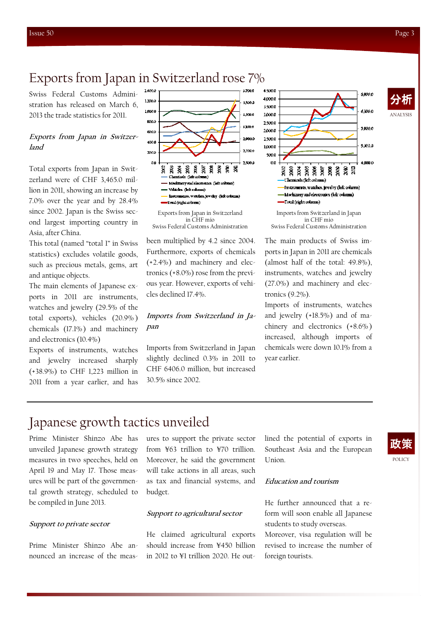ANALYSIS 分析

### Exports from Japan in Switzerland rose 7%

Swiss Federal Customs Administration has released on March 6, 2013 the trade statistics for 2011.

#### Exports from Japan in Switzerland

Total exports from Japan in Switzerland were of CHF 3,465.0 million in 2011, showing an increase by 7.0% over the year and by 28.4% since 2002. Japan is the Swiss second largest importing country in Asia, after China.

This total (named "total 1" in Swiss statistics) excludes volatile goods, such as precious metals, gems, art and antique objects.

The main elements of Japanese exports in 2011 are instruments, watches and jewelry (29.5% of the total exports), vehicles (20.9% ) chemicals (17.1%) and machinery and electronics (10.4%)

Exports of instruments, watches and jewelry increased sharply (+38.9%) to CHF 1,223 million in 2011 from a year earlier, and has



 $in \overline{CHF}$  mio Swiss Federal Customs Administration

been multiplied by 4.2 since 2004. Furthermore, exports of chemicals (+2.4%) and machinery and electronics (+8.0%) rose from the previous year. However, exports of vehicles declined 17.4%.

### Imports from Switzerland in Japan

Imports from Switzerland in Japan slightly declined 0.3% in 2011 to CHF 6406.0 million, but increased 30.5% since 2002.



in CHF mio Swiss Federal Customs Administration

The main products of Swiss imports in Japan in 2011 are chemicals (almost half of the total: 49.8%), instruments, watches and jewelry (27.0%) and machinery and electronics (9.2%).

Imports of instruments, watches and jewelry (+18.5%) and of machinery and electronics (+8.6% ) increased, although imports of chemicals were down 10.1% from a year earlier.

### Japanese growth tactics unveiled

Prime Minister Shinzo Abe has unveiled Japanese growth strategy measures in two speeches, held on April 19 and May 17. Those measures will be part of the governmental growth strategy, scheduled to be compiled in June 2013.

#### Support to private sector

Prime Minister Shinzo Abe announced an increase of the measures to support the private sector from ¥63 trillion to ¥70 trillion. Moreover, he said the government will take actions in all areas, such as tax and financial systems, and budget.

#### Support to agricultural sector

He claimed agricultural exports should increase from ¥450 billion in 2012 to ¥1 trillion 2020. He outlined the potential of exports in Southeast Asia and the European Union.



#### Education and tourism

He further announced that a reform will soon enable all Japanese students to study overseas. Moreover, visa regulation will be

revised to increase the number of foreign tourists.